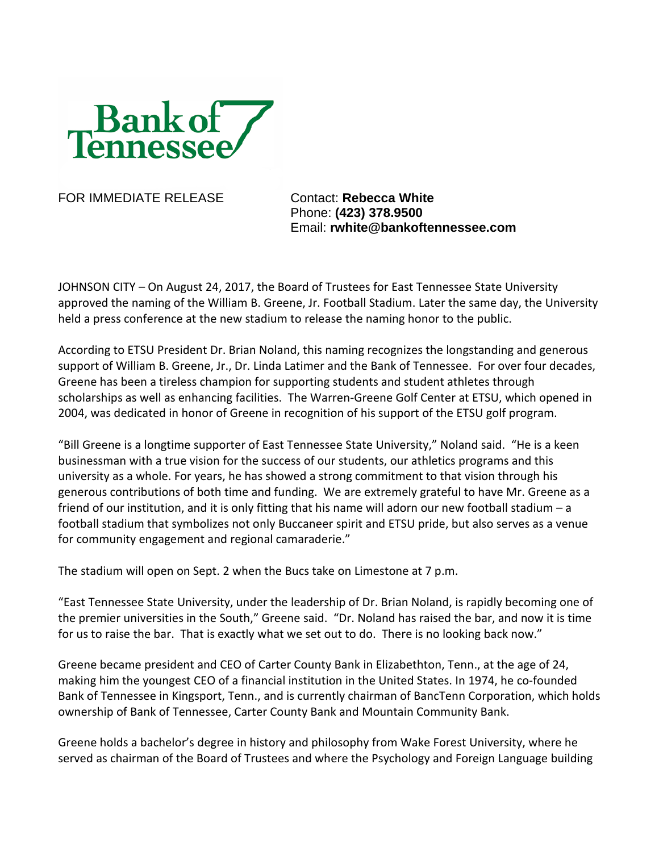

FOR IMMEDIATE RELEASE Contact: **Rebecca White** 

Phone: **(423) 378.9500** Email: **rwhite@bankoftennessee.com**

JOHNSON CITY – On August 24, 2017, the Board of Trustees for East Tennessee State University approved the naming of the William B. Greene, Jr. Football Stadium. Later the same day, the University held a press conference at the new stadium to release the naming honor to the public.

According to ETSU President Dr. Brian Noland, this naming recognizes the longstanding and generous support of William B. Greene, Jr., Dr. Linda Latimer and the Bank of Tennessee. For over four decades, Greene has been a tireless champion for supporting students and student athletes through scholarships as well as enhancing facilities. The Warren-Greene Golf Center at ETSU, which opened in 2004, was dedicated in honor of Greene in recognition of his support of the ETSU golf program.

"Bill Greene is a longtime supporter of East Tennessee State University," Noland said. "He is a keen businessman with a true vision for the success of our students, our athletics programs and this university as a whole. For years, he has showed a strong commitment to that vision through his generous contributions of both time and funding. We are extremely grateful to have Mr. Greene as a friend of our institution, and it is only fitting that his name will adorn our new football stadium – a football stadium that symbolizes not only Buccaneer spirit and ETSU pride, but also serves as a venue for community engagement and regional camaraderie."

The stadium will open on Sept. 2 when the Bucs take on Limestone at 7 p.m.

"East Tennessee State University, under the leadership of Dr. Brian Noland, is rapidly becoming one of the premier universities in the South," Greene said. "Dr. Noland has raised the bar, and now it is time for us to raise the bar. That is exactly what we set out to do. There is no looking back now."

Greene became president and CEO of Carter County Bank in Elizabethton, Tenn., at the age of 24, making him the youngest CEO of a financial institution in the United States. In 1974, he co-founded Bank of Tennessee in Kingsport, Tenn., and is currently chairman of BancTenn Corporation, which holds ownership of Bank of Tennessee, Carter County Bank and Mountain Community Bank.

Greene holds a bachelor's degree in history and philosophy from Wake Forest University, where he served as chairman of the Board of Trustees and where the Psychology and Foreign Language building